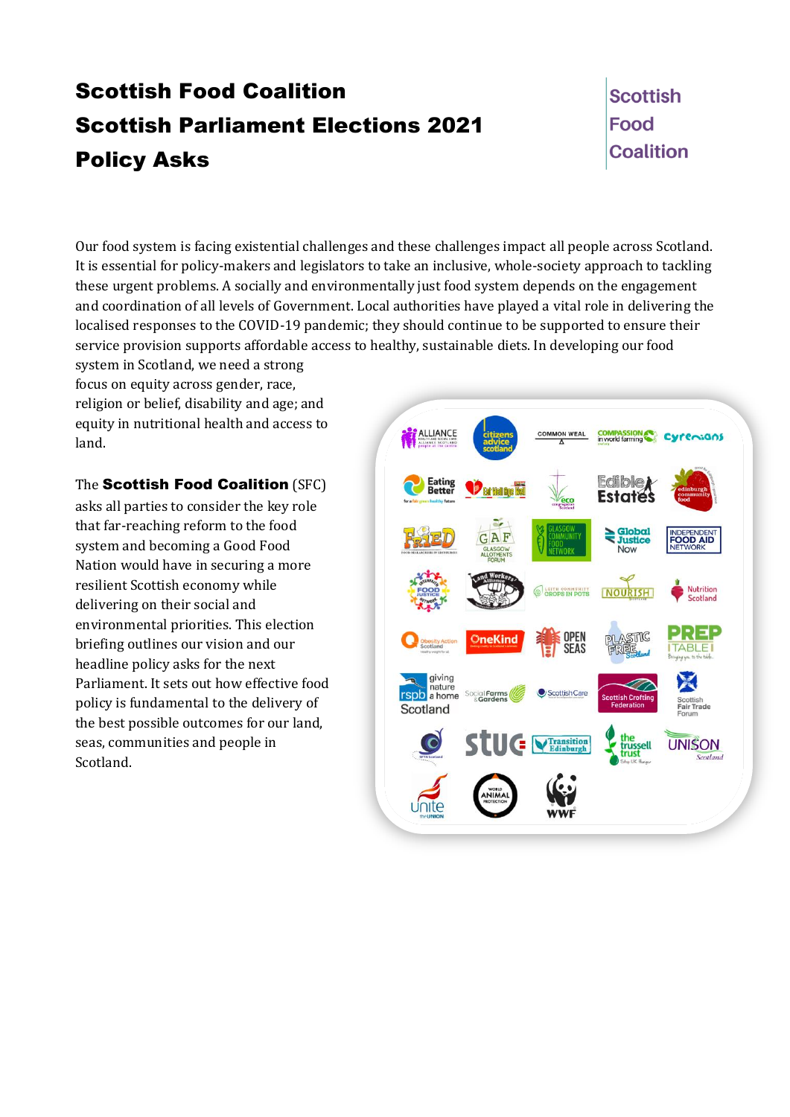# Scottish Food Coalition Scottish Parliament Elections 2021 Policy Asks

**Scottish Food Coalition** 

Our food system is facing existential challenges and these challenges impact all people across Scotland. It is essential for policy-makers and legislators to take an inclusive, whole-society approach to tackling these urgent problems. A socially and environmentally just food system depends on the engagement and coordination of all levels of Government. Local authorities have played a vital role in delivering the localised responses to the COVID-19 pandemic; they should continue to be supported to ensure their service provision supports affordable access to healthy, sustainable diets. In developing our food

system in Scotland, we need a strong focus on equity across gender, race, religion or belief, disability and age; and equity in nutritional health and access to land.

The Scottish Food Coalition (SFC)

asks all parties to consider the key role that far-reaching reform to the food system and becoming a Good Food Nation would have in securing a more resilient Scottish economy while delivering on their social and environmental priorities. This election briefing outlines our vision and our headline policy asks for the next Parliament. It sets out how effective food policy is fundamental to the delivery of the best possible outcomes for our land, seas, communities and people in Scotland.

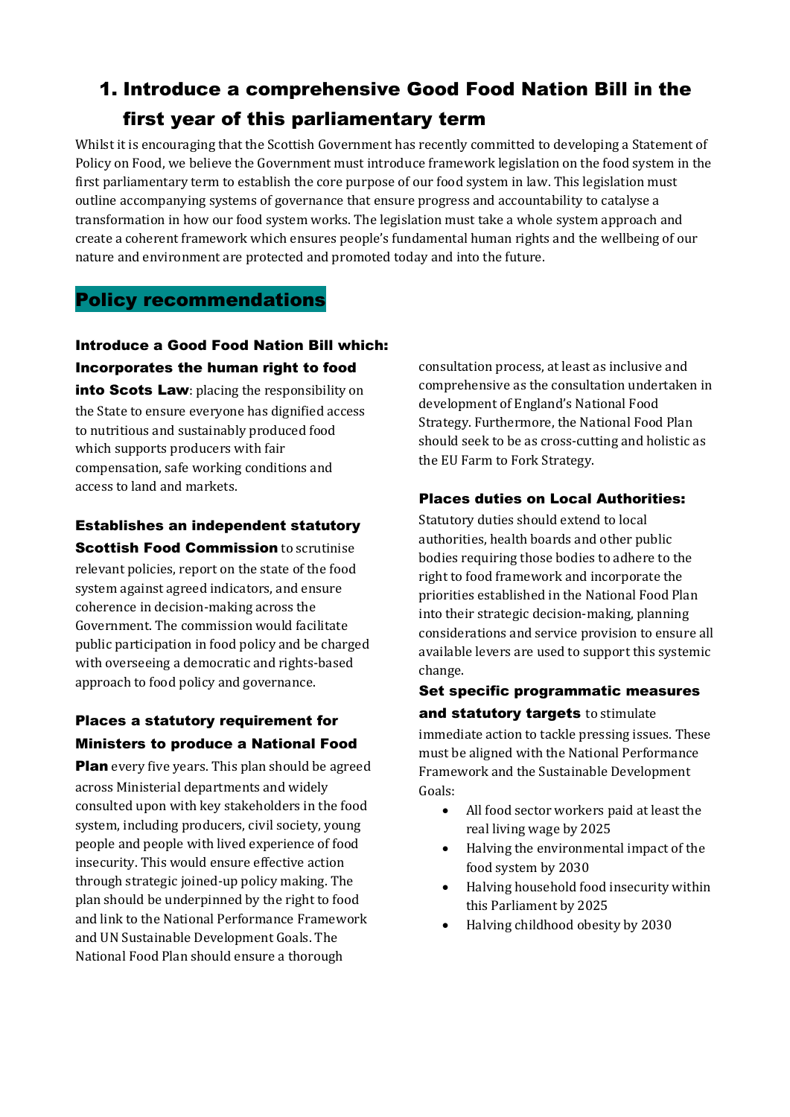## 1. Introduce a comprehensive Good Food Nation Bill in the first year of this parliamentary term

Whilst it is encouraging that the Scottish Government has recently committed to developing a Statement of Policy on Food, we believe the Government must introduce framework legislation on the food system in the first parliamentary term to establish the core purpose of our food system in law. This legislation must outline accompanying systems of governance that ensure progress and accountability to catalyse a transformation in how our food system works. The legislation must take a whole system approach and create a coherent framework which ensures people's fundamental human rights and the wellbeing of our nature and environment are protected and promoted today and into the future.

## Policy recommendations

## Introduce a Good Food Nation Bill which: Incorporates the human right to food

into Scots Law: placing the responsibility on the State to ensure everyone has dignified access to nutritious and sustainably produced food which supports producers with fair compensation, safe working conditions and access to land and markets.

## Establishes an independent statutory

**Scottish Food Commission to scrutinise** relevant policies, report on the state of the food system against agreed indicators, and ensure coherence in decision-making across the Government. The commission would facilitate public participation in food policy and be charged with overseeing a democratic and rights-based approach to food policy and governance.

## Places a statutory requirement for Ministers to produce a National Food

**Plan** every five years. This plan should be agreed across Ministerial departments and widely consulted upon with key stakeholders in the food system, including producers, civil society, young people and people with lived experience of food insecurity. This would ensure effective action through strategic joined-up policy making. The plan should be underpinned by the right to food and link to the National Performance Framework and UN Sustainable Development Goals. The National Food Plan should ensure a thorough

consultation process, at least as inclusive and comprehensive as the consultation undertaken in development of England's National Food Strategy. Furthermore, the National Food Plan should seek to be as cross-cutting and holistic as the EU Farm to Fork Strategy.

### Places duties on Local Authorities:

Statutory duties should extend to local authorities, health boards and other public bodies requiring those bodies to adhere to the right to food framework and incorporate the priorities established in the National Food Plan into their strategic decision-making, planning considerations and service provision to ensure all available levers are used to support this systemic change.

## Set specific programmatic measures and statutory targets to stimulate immediate action to tackle pressing issues. These

must be aligned with the National Performance Framework and the Sustainable Development Goals:

- All food sector workers paid at least the real living wage by 2025
- Halving the environmental impact of the food system by 2030
- Halving household food insecurity within this Parliament by 2025
- Halving childhood obesity by 2030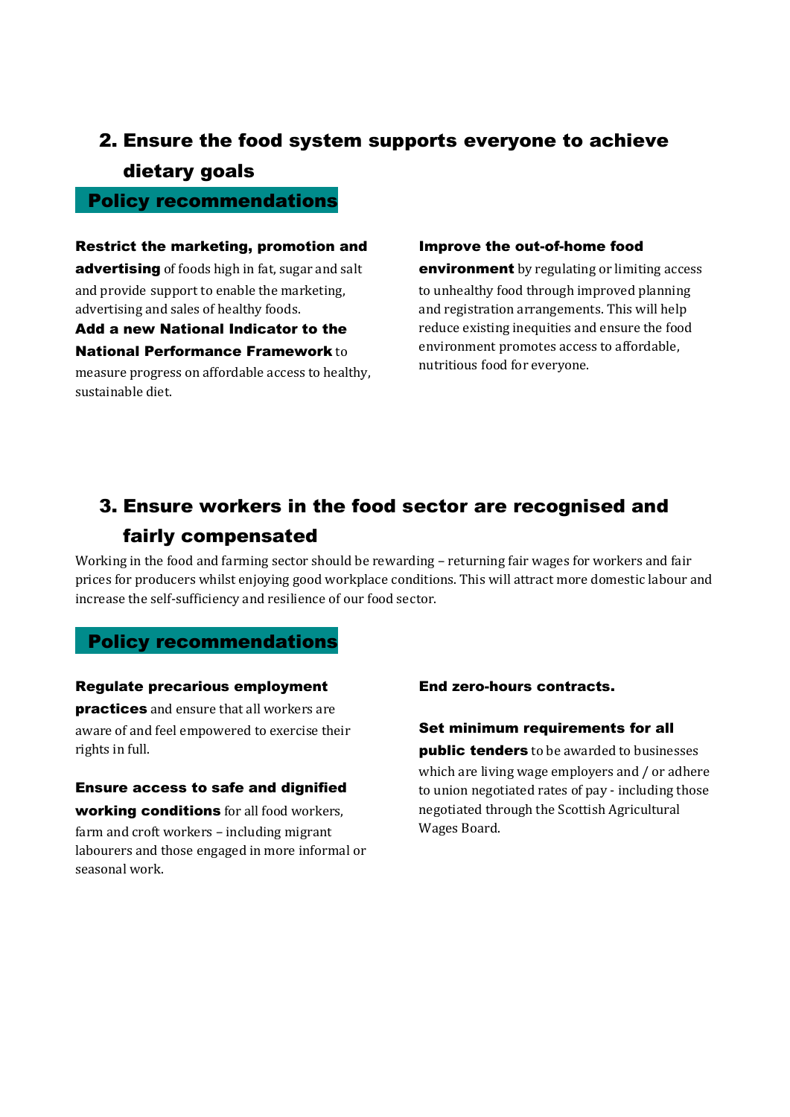## 2. Ensure the food system supports everyone to achieve dietary goals

### Policy recommendations

Restrict the marketing, promotion and advertising of foods high in fat, sugar and salt and provide support to enable the marketing, advertising and sales of healthy foods.

Add a new National Indicator to the National Performance Framework to measure progress on affordable access to healthy, sustainable diet.

#### Improve the out-of-home food

**environment** by regulating or limiting access

to unhealthy food through improved planning and registration arrangements. This will help reduce existing inequities and ensure the food environment promotes access to affordable, nutritious food for everyone.

## 3. Ensure workers in the food sector are recognised and

## fairly compensated

Working in the food and farming sector should be rewarding – returning fair wages for workers and fair prices for producers whilst enjoying good workplace conditions. This will attract more domestic labour and increase the self-sufficiency and resilience of our food sector.

## Policy recommendations

#### Regulate precarious employment

**practices** and ensure that all workers are aware of and feel empowered to exercise their rights in full.

Ensure access to safe and dignified working conditions for all food workers, farm and croft workers – including migrant labourers and those engaged in more informal or seasonal work.

#### End zero-hours contracts.

### Set minimum requirements for all **public tenders** to be awarded to businesses

which are living wage employers and / or adhere to union negotiated rates of pay - including those negotiated through the Scottish Agricultural Wages Board.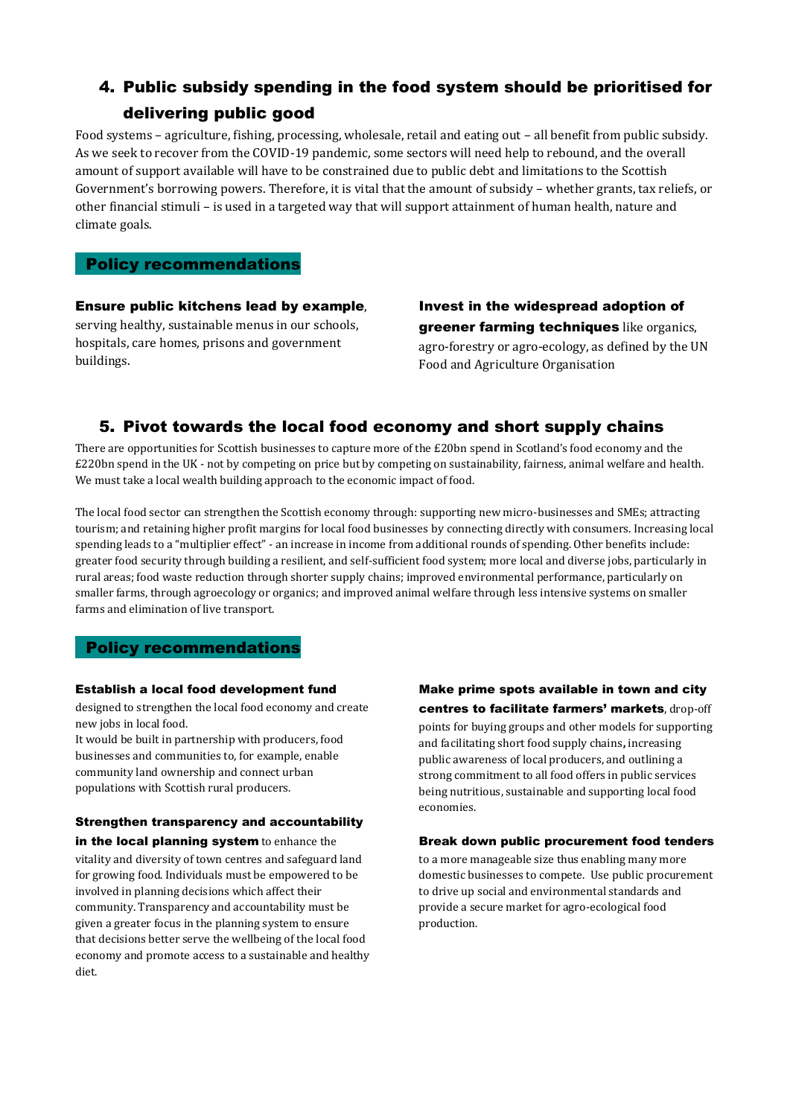## 4. Public subsidy spending in the food system should be prioritised for delivering public good

Food systems – agriculture, fishing, processing, wholesale, retail and eating out – all benefit from public subsidy. As we seek to recover from the COVID-19 pandemic, some sectors will need help to rebound, and the overall amount of support available will have to be constrained due to public debt and limitations to the Scottish Government's borrowing powers. Therefore, it is vital that the amount of subsidy – whether grants, tax reliefs, or other financial stimuli – is used in a targeted way that will support attainment of human health, nature and climate goals.

#### Policy recommendations

buildings.

Ensure public kitchens lead by example, serving healthy, sustainable menus in our schools, hospitals, care homes, prisons and government

Invest in the widespread adoption of greener farming techniques like organics, agro-forestry or agro-ecology, as defined by the UN Food and Agriculture Organisation

## 5. Pivot towards the local food economy and short supply chains

There are opportunities for Scottish businesses to capture more of the £20bn spend in Scotland's food economy and the £220bn spend in the UK - not by competing on price but by competing on sustainability, fairness, animal welfare and health. We must take a local wealth building approach to the economic impact of food.

The local food sector can strengthen the Scottish economy through: supporting new micro-businesses and SMEs; attracting tourism; and retaining higher profit margins for local food businesses by connecting directly with consumers. Increasing local spending leads to a "multiplier effect" - an increase in income from additional rounds of spending. Other benefits include: greater food security through building a resilient, and self-sufficient food system; more local and diverse jobs, particularly in rural areas; food waste reduction through shorter supply chains; improved environmental performance, particularly on smaller farms, through agroecology or organics; and improved animal welfare through less intensive systems on smaller farms and elimination of live transport.

#### Policy recommendations

#### Establish a local food development fund

designed to strengthen the local food economy and create new jobs in local food.

It would be built in partnership with producers, food businesses and communities to, for example, enable community land ownership and connect urban populations with Scottish rural producers.

#### Strengthen transparency and accountability in the local planning system to enhance the

vitality and diversity of town centres and safeguard land for growing food. Individuals must be empowered to be involved in planning decisions which affect their community. Transparency and accountability must be given a greater focus in the planning system to ensure that decisions better serve the wellbeing of the local food economy and promote access to a sustainable and healthy diet.

#### Make prime spots available in town and city centres to facilitate farmers' markets, drop-off

points for buying groups and other models for supporting and facilitating short food supply chains**,** increasing public awareness of local producers, and outlining a strong commitment to all food offers in public services being nutritious, sustainable and supporting local food economies.

#### Break down public procurement food tenders

to a more manageable size thus enabling many more domestic businesses to compete. Use public procurement to drive up social and environmental standards and provide a secure market for agro-ecological food production.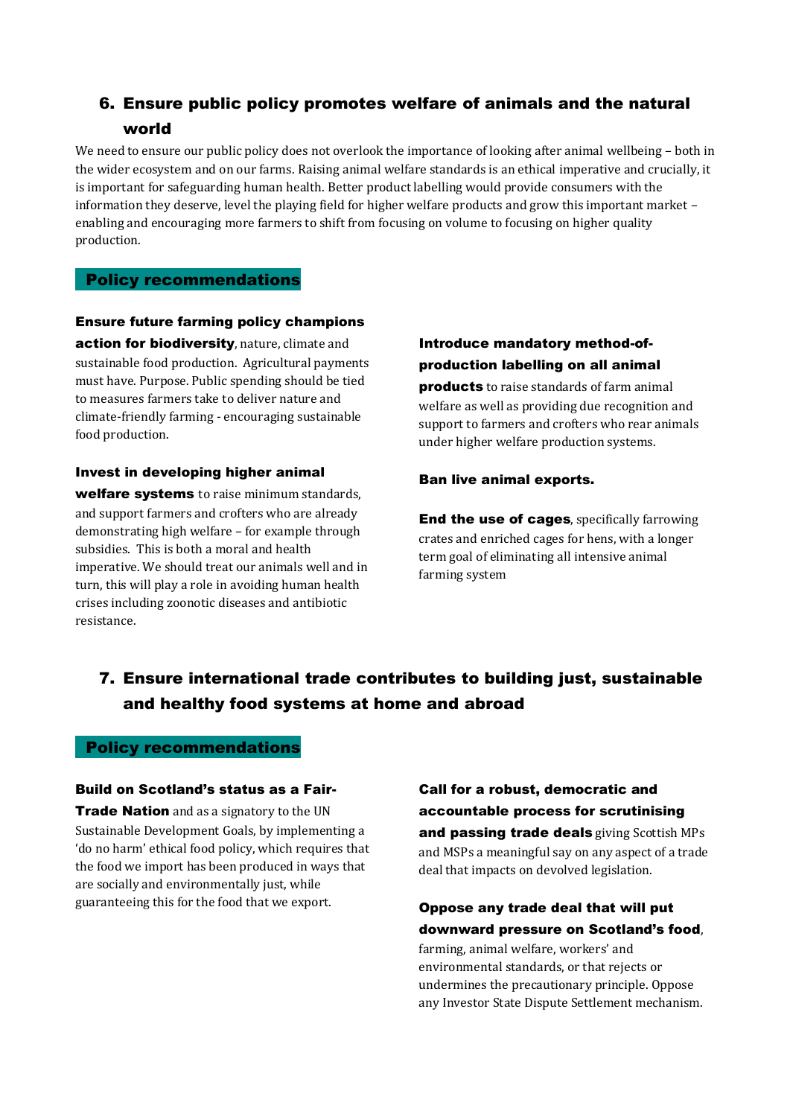## 6. Ensure public policy promotes welfare of animals and the natural world

We need to ensure our public policy does not overlook the importance of looking after animal wellbeing – both in the wider ecosystem and on our farms. Raising animal welfare standards is an ethical imperative and crucially, it is important for safeguarding human health. Better product labelling would provide consumers with the information they deserve, level the playing field for higher welfare products and grow this important market – enabling and encouraging more farmers to shift from focusing on volume to focusing on higher quality production.

#### Policy recommendations

Ensure future farming policy champions action for biodiversity, nature, climate and sustainable food production. Agricultural payments must have. Purpose. Public spending should be tied to measures farmers take to deliver nature and climate-friendly farming - encouraging sustainable food production.

#### Invest in developing higher animal

welfare systems to raise minimum standards, and support farmers and crofters who are already demonstrating high welfare – for example through subsidies. This is both a moral and health imperative. We should treat our animals well and in turn, this will play a role in avoiding human health crises including zoonotic diseases and antibiotic resistance.

## Introduce mandatory method-ofproduction labelling on all animal

**products** to raise standards of farm animal welfare as well as providing due recognition and support to farmers and crofters who rear animals under higher welfare production systems.

#### Ban live animal exports.

End the use of cages, specifically farrowing crates and enriched cages for hens, with a longer term goal of eliminating all intensive animal farming system

## 7. Ensure international trade contributes to building just, sustainable and healthy food systems at home and abroad

#### Policy recommendations

#### Build on Scotland's status as a Fair-

**Trade Nation** and as a signatory to the UN Sustainable Development Goals, by implementing a 'do no harm' ethical food policy, which requires that the food we import has been produced in ways that are socially and environmentally just, while guaranteeing this for the food that we export.

## Call for a robust, democratic and accountable process for scrutinising and passing trade deals giving Scottish MPs and MSPs a meaningful say on any aspect of a trade

deal that impacts on devolved legislation.

## Oppose any trade deal that will put downward pressure on Scotland's food,

farming, animal welfare, workers' and environmental standards, or that rejects or undermines the precautionary principle. Oppose any Investor State Dispute Settlement mechanism.